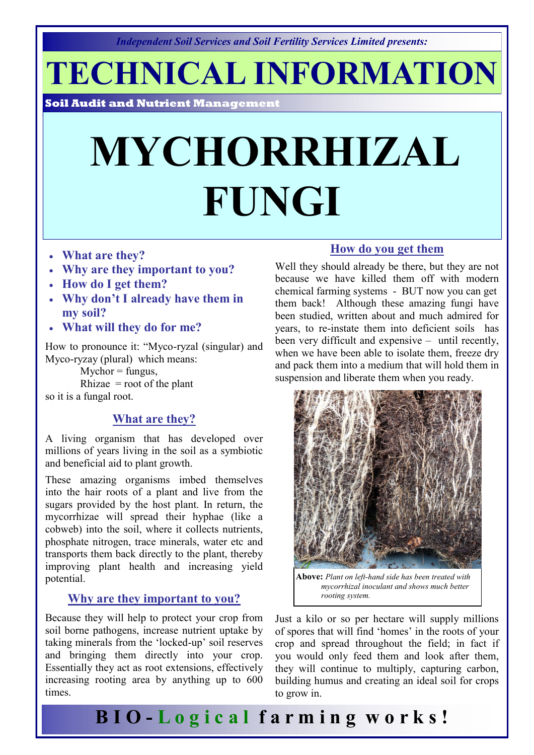*Independent Soil Services and Soil Fertility Services Limited presents:* 

**TECHNICAL INFORMATION**

**Soil Audit and Nutrient Management** 

# **MYCHORRHIZAL FUNGI**

- **What are they?**
- **Why are they important to you?**
- **How do I get them?**
- **Why don't I already have them in my soil?**
- **What will they do for me?**

How to pronounce it: "Myco-ryzal (singular) and Myco-ryzay (plural) which means:

 $M$ ychor = fungus,

Rhizae  $=$  root of the plant so it is a fungal root.

### **What are they?**

A living organism that has developed over millions of years living in the soil as a symbiotic and beneficial aid to plant growth.

These amazing organisms imbed themselves into the hair roots of a plant and live from the sugars provided by the host plant. In return, the mycorrhizae will spread their hyphae (like a cobweb) into the soil, where it collects nutrients, phosphate nitrogen, trace minerals, water etc and transports them back directly to the plant, thereby improving plant health and increasing yield potential.

### **Why are they important to you?**

Because they will help to protect your crop from soil borne pathogens, increase nutrient uptake by taking minerals from the 'locked-up' soil reserves and bringing them directly into your crop. Essentially they act as root extensions, effectively increasing rooting area by anything up to 600 times.

#### **How do you get them**

Well they should already be there, but they are not because we have killed them off with modern chemical farming systems - BUT now you can get them back! Although these amazing fungi have been studied, written about and much admired for years, to re-instate them into deficient soils has been very difficult and expensive – until recently, when we have been able to isolate them, freeze dry and pack them into a medium that will hold them in suspension and liberate them when you ready.



**Above:** *Plant on left-hand side has been treated with mycorrhizal inoculant and shows much better rooting system.*

Just a kilo or so per hectare will supply millions of spores that will find 'homes' in the roots of your crop and spread throughout the field; in fact if you would only feed them and look after them, they will continue to multiply, capturing carbon, building humus and creating an ideal soil for crops to grow in.

**B I O - L o g i c a l f a r m i n g w o r k s !**